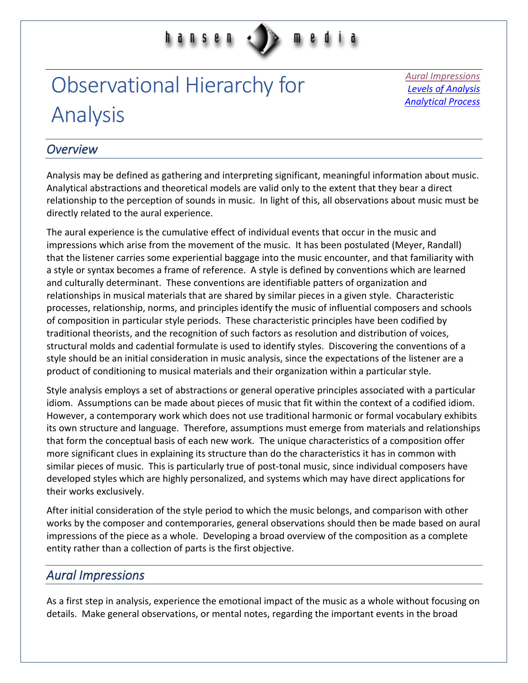# d **n** s e n

## Observational Hierarchy for Analysis

*[Aural Impressions](#page-0-0) [Levels of Analysis](#page-1-0) [Analytical Process](#page-4-0)*

## *Overview*

Analysis may be defined as gathering and interpreting significant, meaningful information about music. Analytical abstractions and theoretical models are valid only to the extent that they bear a direct relationship to the perception of sounds in music. In light of this, all observations about music must be directly related to the aural experience.

The aural experience is the cumulative effect of individual events that occur in the music and impressions which arise from the movement of the music. It has been postulated (Meyer, Randall) that the listener carries some experiential baggage into the music encounter, and that familiarity with a style or syntax becomes a frame of reference. A style is defined by conventions which are learned and culturally determinant. These conventions are identifiable patters of organization and relationships in musical materials that are shared by similar pieces in a given style. Characteristic processes, relationship, norms, and principles identify the music of influential composers and schools of composition in particular style periods. These characteristic principles have been codified by traditional theorists, and the recognition of such factors as resolution and distribution of voices, structural molds and cadential formulate is used to identify styles. Discovering the conventions of a style should be an initial consideration in music analysis, since the expectations of the listener are a product of conditioning to musical materials and their organization within a particular style.

Style analysis employs a set of abstractions or general operative principles associated with a particular idiom. Assumptions can be made about pieces of music that fit within the context of a codified idiom. However, a contemporary work which does not use traditional harmonic or formal vocabulary exhibits its own structure and language. Therefore, assumptions must emerge from materials and relationships that form the conceptual basis of each new work. The unique characteristics of a composition offer more significant clues in explaining its structure than do the characteristics it has in common with similar pieces of music. This is particularly true of post-tonal music, since individual composers have developed styles which are highly personalized, and systems which may have direct applications for their works exclusively.

After initial consideration of the style period to which the music belongs, and comparison with other works by the composer and contemporaries, general observations should then be made based on aural impressions of the piece as a whole. Developing a broad overview of the composition as a complete entity rather than a collection of parts is the first objective.

## <span id="page-0-0"></span>*Aural Impressions*

As a first step in analysis, experience the emotional impact of the music as a whole without focusing on details. Make general observations, or mental notes, regarding the important events in the broad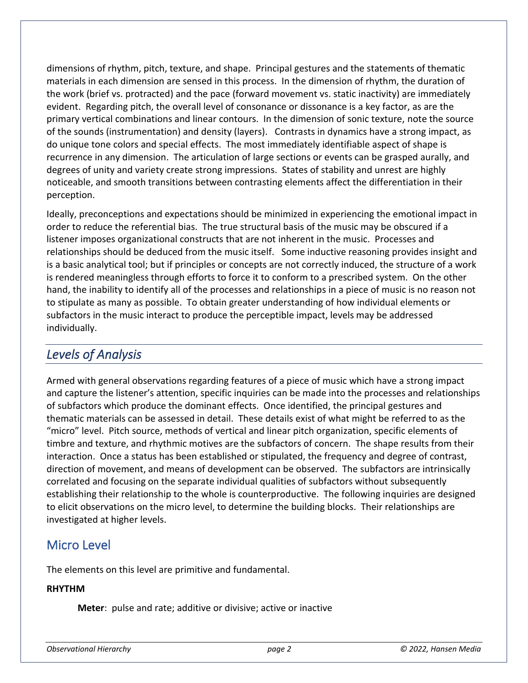dimensions of rhythm, pitch, texture, and shape. Principal gestures and the statements of thematic materials in each dimension are sensed in this process. In the dimension of rhythm, the duration of the work (brief vs. protracted) and the pace (forward movement vs. static inactivity) are immediately evident. Regarding pitch, the overall level of consonance or dissonance is a key factor, as are the primary vertical combinations and linear contours. In the dimension of sonic texture, note the source of the sounds (instrumentation) and density (layers). Contrasts in dynamics have a strong impact, as do unique tone colors and special effects. The most immediately identifiable aspect of shape is recurrence in any dimension. The articulation of large sections or events can be grasped aurally, and degrees of unity and variety create strong impressions. States of stability and unrest are highly noticeable, and smooth transitions between contrasting elements affect the differentiation in their perception.

Ideally, preconceptions and expectations should be minimized in experiencing the emotional impact in order to reduce the referential bias. The true structural basis of the music may be obscured if a listener imposes organizational constructs that are not inherent in the music. Processes and relationships should be deduced from the music itself. Some inductive reasoning provides insight and is a basic analytical tool; but if principles or concepts are not correctly induced, the structure of a work is rendered meaningless through efforts to force it to conform to a prescribed system. On the other hand, the inability to identify all of the processes and relationships in a piece of music is no reason not to stipulate as many as possible. To obtain greater understanding of how individual elements or subfactors in the music interact to produce the perceptible impact, levels may be addressed individually.

## <span id="page-1-0"></span>*Levels of Analysis*

Armed with general observations regarding features of a piece of music which have a strong impact and capture the listener's attention, specific inquiries can be made into the processes and relationships of subfactors which produce the dominant effects. Once identified, the principal gestures and thematic materials can be assessed in detail. These details exist of what might be referred to as the "micro" level. Pitch source, methods of vertical and linear pitch organization, specific elements of timbre and texture, and rhythmic motives are the subfactors of concern. The shape results from their interaction. Once a status has been established or stipulated, the frequency and degree of contrast, direction of movement, and means of development can be observed. The subfactors are intrinsically correlated and focusing on the separate individual qualities of subfactors without subsequently establishing their relationship to the whole is counterproductive. The following inquiries are designed to elicit observations on the micro level, to determine the building blocks. Their relationships are investigated at higher levels.

## Micro Level

The elements on this level are primitive and fundamental.

### **RHYTHM**

**Meter**: pulse and rate; additive or divisive; active or inactive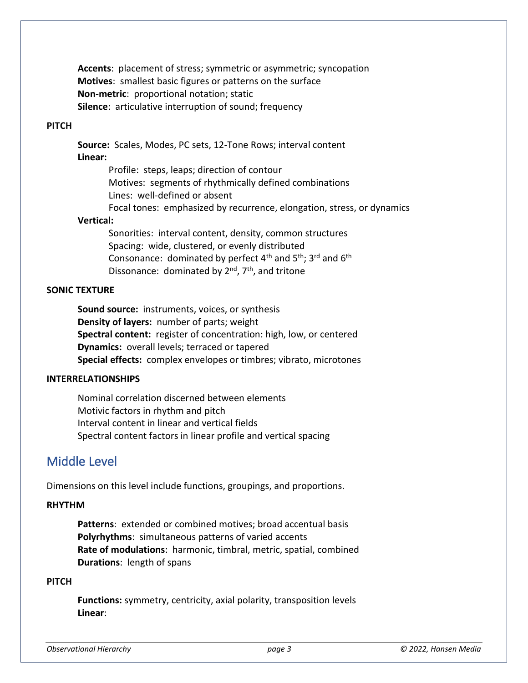**Accents**: placement of stress; symmetric or asymmetric; syncopation **Motives**: smallest basic figures or patterns on the surface **Non-metric**: proportional notation; static **Silence**: articulative interruption of sound; frequency

#### **PITCH**

**Source:** Scales, Modes, PC sets, 12-Tone Rows; interval content **Linear:**

> Profile: steps, leaps; direction of contour Motives: segments of rhythmically defined combinations Lines: well-defined or absent

#### Focal tones: emphasized by recurrence, elongation, stress, or dynamics

#### **Vertical:**

Sonorities: interval content, density, common structures Spacing: wide, clustered, or evenly distributed Consonance: dominated by perfect  $4<sup>th</sup>$  and  $5<sup>th</sup>$ ; 3<sup>rd</sup> and  $6<sup>th</sup>$ Dissonance: dominated by 2<sup>nd</sup>, 7<sup>th</sup>, and tritone

#### **SONIC TEXTURE**

**Sound source:** instruments, voices, or synthesis **Density of layers:** number of parts; weight **Spectral content:** register of concentration: high, low, or centered **Dynamics:** overall levels; terraced or tapered **Special effects:** complex envelopes or timbres; vibrato, microtones

#### **INTERRELATIONSHIPS**

Nominal correlation discerned between elements Motivic factors in rhythm and pitch Interval content in linear and vertical fields Spectral content factors in linear profile and vertical spacing

## Middle Level

Dimensions on this level include functions, groupings, and proportions.

#### **RHYTHM**

**Patterns**: extended or combined motives; broad accentual basis **Polyrhythms**: simultaneous patterns of varied accents **Rate of modulations**: harmonic, timbral, metric, spatial, combined **Durations**: length of spans

#### **PITCH**

**Functions:** symmetry, centricity, axial polarity, transposition levels **Linear**: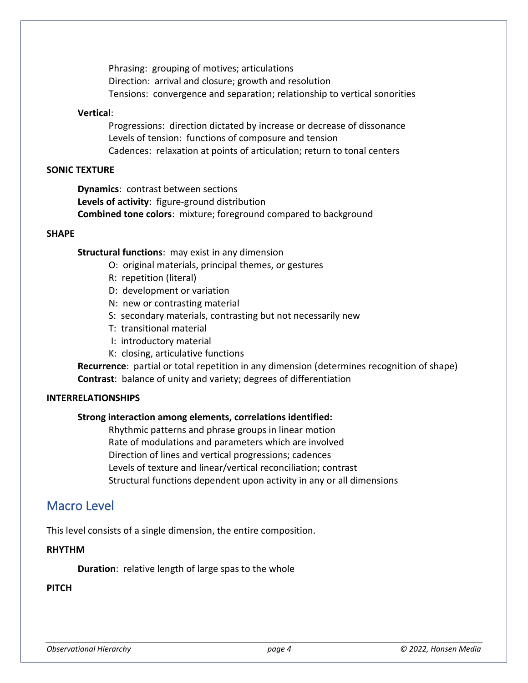Phrasing: grouping of motives; articulations Direction: arrival and closure; growth and resolution Tensions: convergence and separation; relationship to vertical sonorities

#### **Vertical**:

Progressions: direction dictated by increase or decrease of dissonance Levels of tension: functions of composure and tension Cadences: relaxation at points of articulation; return to tonal centers

#### **SONIC TEXTURE**

**Dynamics**: contrast between sections **Levels of activity**: figure-ground distribution **Combined tone colors**: mixture; foreground compared to background

#### **SHAPE**

**Structural functions**: may exist in any dimension

- O: original materials, principal themes, or gestures
- R: repetition (literal)
- D: development or variation
- N: new or contrasting material
- S: secondary materials, contrasting but not necessarily new
- T: transitional material
- I: introductory material
- K: closing, articulative functions

**Recurrence**: partial or total repetition in any dimension (determines recognition of shape) **Contrast**: balance of unity and variety; degrees of differentiation

#### **INTERRELATIONSHIPS**

#### **Strong interaction among elements, correlations identified:**

Rhythmic patterns and phrase groups in linear motion Rate of modulations and parameters which are involved Direction of lines and vertical progressions; cadences Levels of texture and linear/vertical reconciliation; contrast Structural functions dependent upon activity in any or all dimensions

## Macro Level

This level consists of a single dimension, the entire composition.

#### **RHYTHM**

**Duration**: relative length of large spas to the whole

#### **PITCH**